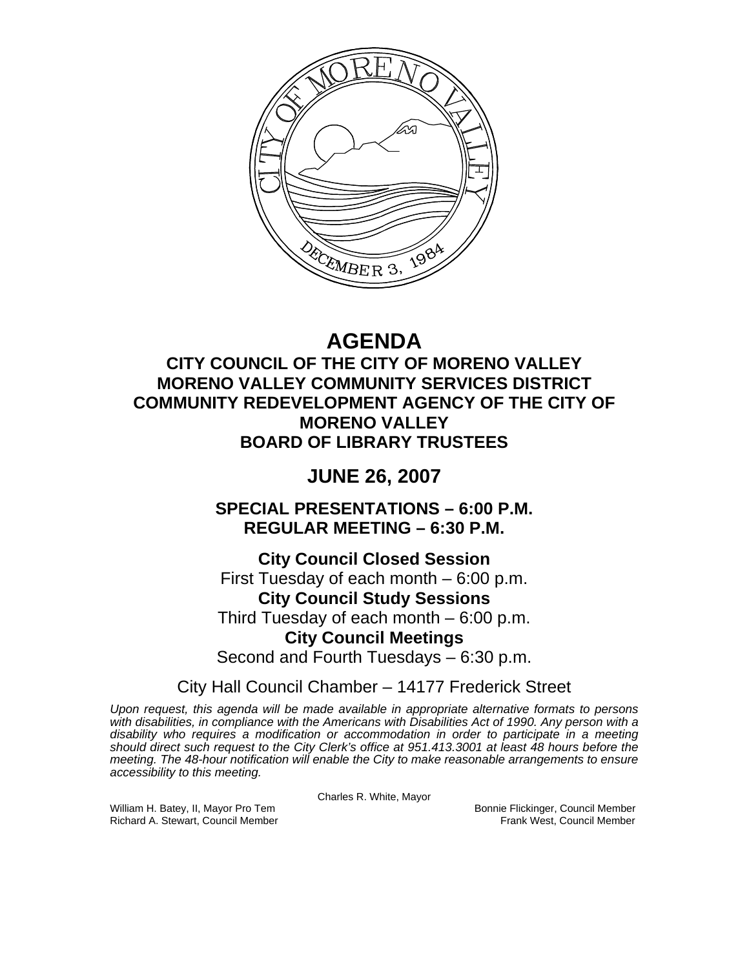

# **AGENDA**

## **CITY COUNCIL OF THE CITY OF MORENO VALLEY MORENO VALLEY COMMUNITY SERVICES DISTRICT COMMUNITY REDEVELOPMENT AGENCY OF THE CITY OF MORENO VALLEY BOARD OF LIBRARY TRUSTEES**

## **JUNE 26, 2007**

**SPECIAL PRESENTATIONS – 6:00 P.M. REGULAR MEETING – 6:30 P.M.** 

**City Council Closed Session**  First Tuesday of each month – 6:00 p.m. **City Council Study Sessions**  Third Tuesday of each month – 6:00 p.m. **City Council Meetings**  Second and Fourth Tuesdays – 6:30 p.m.

City Hall Council Chamber – 14177 Frederick Street

*Upon request, this agenda will be made available in appropriate alternative formats to persons with disabilities, in compliance with the Americans with Disabilities Act of 1990. Any person with a disability who requires a modification or accommodation in order to participate in a meeting should direct such request to the City Clerk's office at 951.413.3001 at least 48 hours before the meeting. The 48-hour notification will enable the City to make reasonable arrangements to ensure accessibility to this meeting.* 

Charles R. White, Mayor

William H. Batey, II, Mayor Pro Tem Bonnie Flickinger, Council Member<br>Richard A. Stewart, Council Member Bonnie Frank West, Council Member Richard A. Stewart, Council Member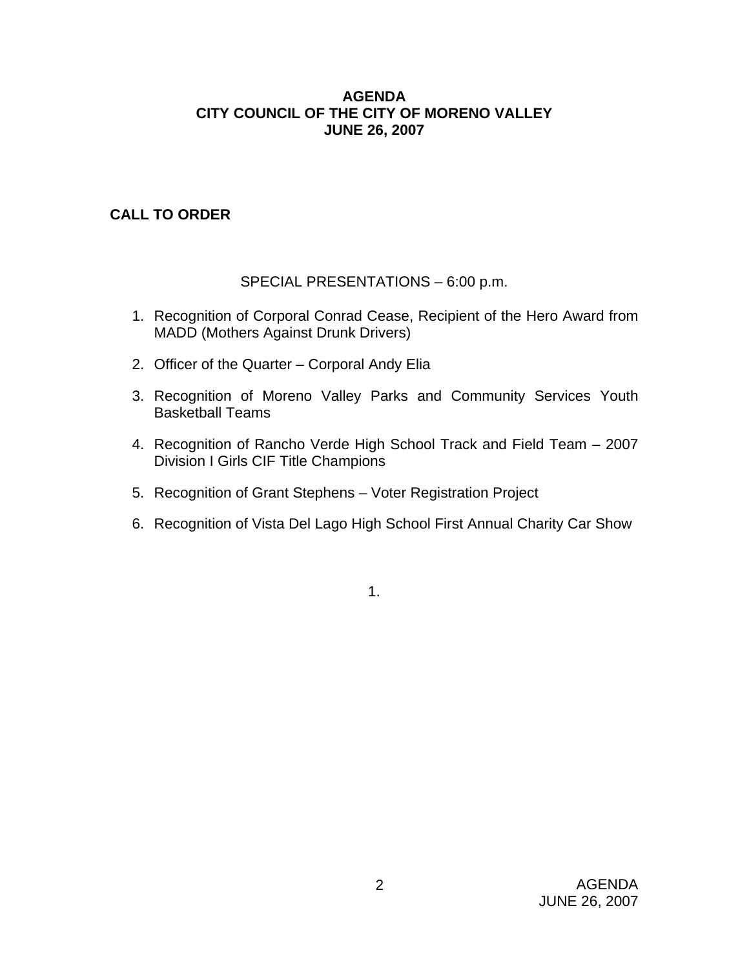#### **AGENDA CITY COUNCIL OF THE CITY OF MORENO VALLEY JUNE 26, 2007**

## **CALL TO ORDER**

## SPECIAL PRESENTATIONS – 6:00 p.m.

- 1. Recognition of Corporal Conrad Cease, Recipient of the Hero Award from MADD (Mothers Against Drunk Drivers)
- 2. Officer of the Quarter Corporal Andy Elia
- 3. Recognition of Moreno Valley Parks and Community Services Youth Basketball Teams
- 4. Recognition of Rancho Verde High School Track and Field Team 2007 Division I Girls CIF Title Champions
- 5. Recognition of Grant Stephens Voter Registration Project
- 6. Recognition of Vista Del Lago High School First Annual Charity Car Show

1.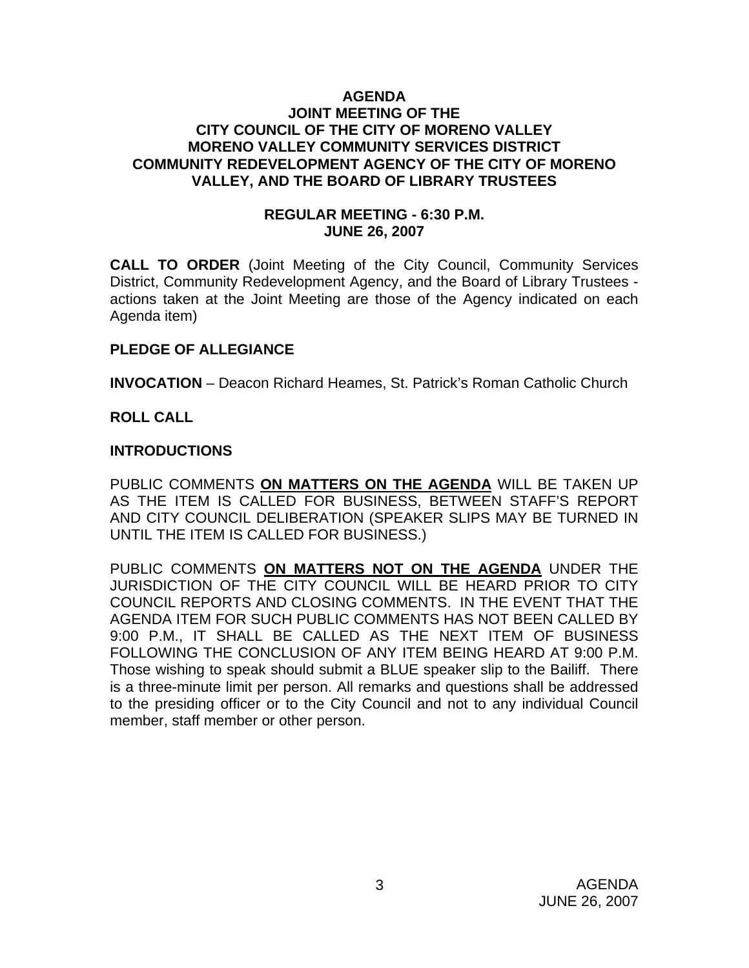#### **AGENDA JOINT MEETING OF THE CITY COUNCIL OF THE CITY OF MORENO VALLEY MORENO VALLEY COMMUNITY SERVICES DISTRICT COMMUNITY REDEVELOPMENT AGENCY OF THE CITY OF MORENO VALLEY, AND THE BOARD OF LIBRARY TRUSTEES**

#### **REGULAR MEETING - 6:30 P.M. JUNE 26, 2007**

**CALL TO ORDER** (Joint Meeting of the City Council, Community Services District, Community Redevelopment Agency, and the Board of Library Trustees actions taken at the Joint Meeting are those of the Agency indicated on each Agenda item)

## **PLEDGE OF ALLEGIANCE**

**INVOCATION** – Deacon Richard Heames, St. Patrick's Roman Catholic Church

#### **ROLL CALL**

#### **INTRODUCTIONS**

PUBLIC COMMENTS **ON MATTERS ON THE AGENDA** WILL BE TAKEN UP AS THE ITEM IS CALLED FOR BUSINESS, BETWEEN STAFF'S REPORT AND CITY COUNCIL DELIBERATION (SPEAKER SLIPS MAY BE TURNED IN UNTIL THE ITEM IS CALLED FOR BUSINESS.)

PUBLIC COMMENTS **ON MATTERS NOT ON THE AGENDA** UNDER THE JURISDICTION OF THE CITY COUNCIL WILL BE HEARD PRIOR TO CITY COUNCIL REPORTS AND CLOSING COMMENTS. IN THE EVENT THAT THE AGENDA ITEM FOR SUCH PUBLIC COMMENTS HAS NOT BEEN CALLED BY 9:00 P.M., IT SHALL BE CALLED AS THE NEXT ITEM OF BUSINESS FOLLOWING THE CONCLUSION OF ANY ITEM BEING HEARD AT 9:00 P.M. Those wishing to speak should submit a BLUE speaker slip to the Bailiff. There is a three-minute limit per person. All remarks and questions shall be addressed to the presiding officer or to the City Council and not to any individual Council member, staff member or other person.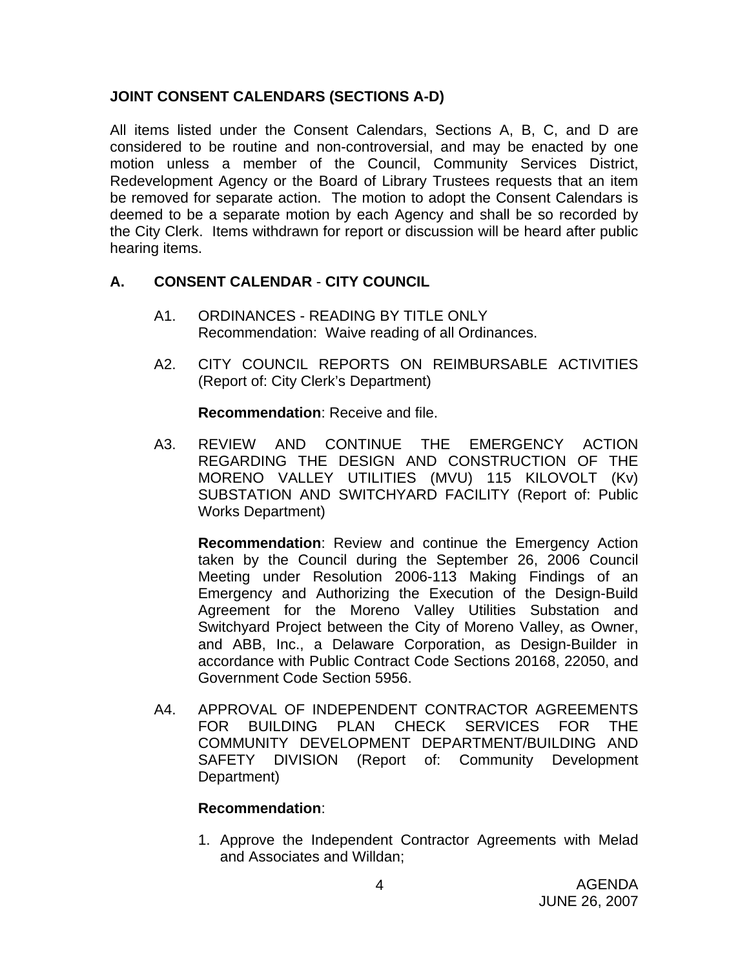## **JOINT CONSENT CALENDARS (SECTIONS A-D)**

All items listed under the Consent Calendars, Sections A, B, C, and D are considered to be routine and non-controversial, and may be enacted by one motion unless a member of the Council, Community Services District, Redevelopment Agency or the Board of Library Trustees requests that an item be removed for separate action. The motion to adopt the Consent Calendars is deemed to be a separate motion by each Agency and shall be so recorded by the City Clerk. Items withdrawn for report or discussion will be heard after public hearing items.

## **A. CONSENT CALENDAR** - **CITY COUNCIL**

- A1. ORDINANCES READING BY TITLE ONLY Recommendation: Waive reading of all Ordinances.
- A2. CITY COUNCIL REPORTS ON REIMBURSABLE ACTIVITIES (Report of: City Clerk's Department)

**Recommendation**: Receive and file.

A3. REVIEW AND CONTINUE THE EMERGENCY ACTION REGARDING THE DESIGN AND CONSTRUCTION OF THE MORENO VALLEY UTILITIES (MVU) 115 KILOVOLT (Kv) SUBSTATION AND SWITCHYARD FACILITY (Report of: Public Works Department)

**Recommendation**: Review and continue the Emergency Action taken by the Council during the September 26, 2006 Council Meeting under Resolution 2006-113 Making Findings of an Emergency and Authorizing the Execution of the Design-Build Agreement for the Moreno Valley Utilities Substation and Switchyard Project between the City of Moreno Valley, as Owner, and ABB, Inc., a Delaware Corporation, as Design-Builder in accordance with Public Contract Code Sections 20168, 22050, and Government Code Section 5956.

A4. APPROVAL OF INDEPENDENT CONTRACTOR AGREEMENTS FOR BUILDING PLAN CHECK SERVICES FOR THE COMMUNITY DEVELOPMENT DEPARTMENT/BUILDING AND SAFETY DIVISION (Report of: Community Development Department)

#### **Recommendation**:

1. Approve the Independent Contractor Agreements with Melad and Associates and Willdan;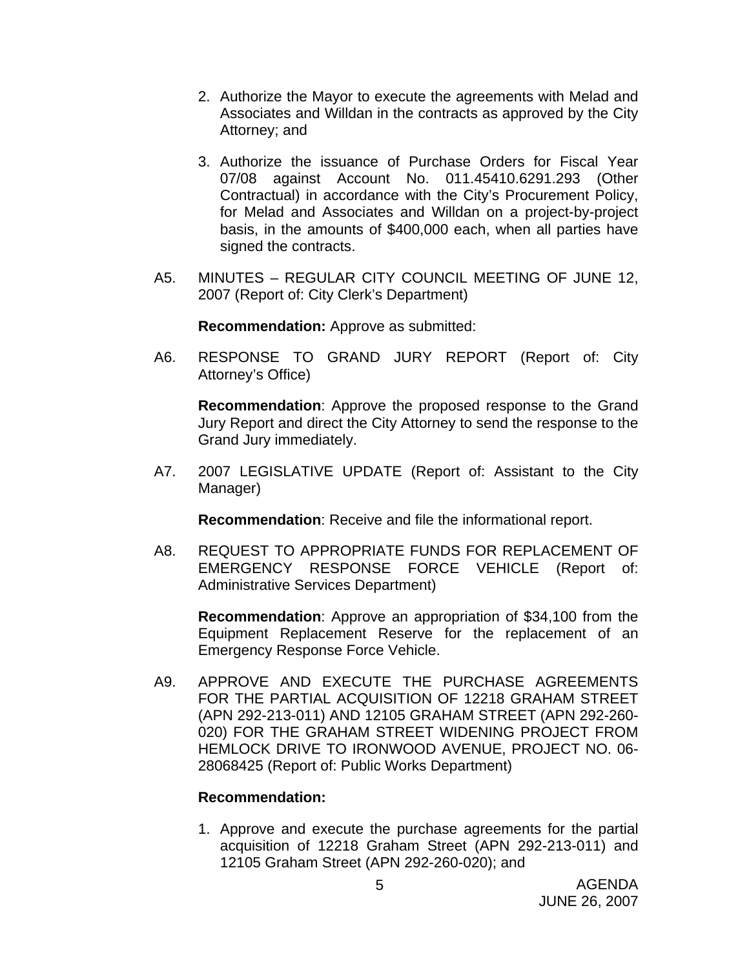- 2. Authorize the Mayor to execute the agreements with Melad and Associates and Willdan in the contracts as approved by the City Attorney; and
- 3. Authorize the issuance of Purchase Orders for Fiscal Year 07/08 against Account No. 011.45410.6291.293 (Other Contractual) in accordance with the City's Procurement Policy, for Melad and Associates and Willdan on a project-by-project basis, in the amounts of \$400,000 each, when all parties have signed the contracts.
- A5. MINUTES REGULAR CITY COUNCIL MEETING OF JUNE 12, 2007 (Report of: City Clerk's Department)

**Recommendation:** Approve as submitted:

A6. RESPONSE TO GRAND JURY REPORT (Report of: City Attorney's Office)

**Recommendation**: Approve the proposed response to the Grand Jury Report and direct the City Attorney to send the response to the Grand Jury immediately.

A7. 2007 LEGISLATIVE UPDATE (Report of: Assistant to the City Manager)

**Recommendation**: Receive and file the informational report.

A8. REQUEST TO APPROPRIATE FUNDS FOR REPLACEMENT OF EMERGENCY RESPONSE FORCE VEHICLE (Report of: Administrative Services Department)

**Recommendation**: Approve an appropriation of \$34,100 from the Equipment Replacement Reserve for the replacement of an Emergency Response Force Vehicle.

A9. APPROVE AND EXECUTE THE PURCHASE AGREEMENTS FOR THE PARTIAL ACQUISITION OF 12218 GRAHAM STREET (APN 292-213-011) AND 12105 GRAHAM STREET (APN 292-260- 020) FOR THE GRAHAM STREET WIDENING PROJECT FROM HEMLOCK DRIVE TO IRONWOOD AVENUE, PROJECT NO. 06- 28068425 (Report of: Public Works Department)

#### **Recommendation:**

1. Approve and execute the purchase agreements for the partial acquisition of 12218 Graham Street (APN 292-213-011) and 12105 Graham Street (APN 292-260-020); and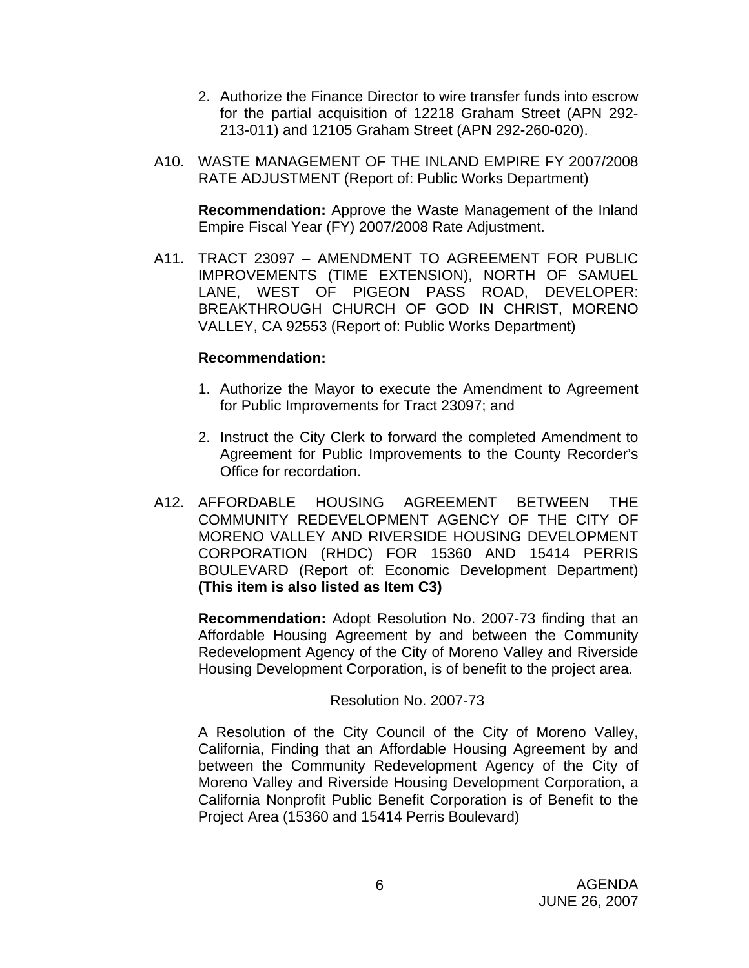- 2. Authorize the Finance Director to wire transfer funds into escrow for the partial acquisition of 12218 Graham Street (APN 292- 213-011) and 12105 Graham Street (APN 292-260-020).
- A10. WASTE MANAGEMENT OF THE INLAND EMPIRE FY 2007/2008 RATE ADJUSTMENT (Report of: Public Works Department)

**Recommendation:** Approve the Waste Management of the Inland Empire Fiscal Year (FY) 2007/2008 Rate Adjustment.

A11. TRACT 23097 – AMENDMENT TO AGREEMENT FOR PUBLIC IMPROVEMENTS (TIME EXTENSION), NORTH OF SAMUEL LANE, WEST OF PIGEON PASS ROAD, DEVELOPER: BREAKTHROUGH CHURCH OF GOD IN CHRIST, MORENO VALLEY, CA 92553 (Report of: Public Works Department)

#### **Recommendation:**

- 1. Authorize the Mayor to execute the Amendment to Agreement for Public Improvements for Tract 23097; and
- 2. Instruct the City Clerk to forward the completed Amendment to Agreement for Public Improvements to the County Recorder's Office for recordation.
- A12. AFFORDABLE HOUSING AGREEMENT BETWEEN THE COMMUNITY REDEVELOPMENT AGENCY OF THE CITY OF MORENO VALLEY AND RIVERSIDE HOUSING DEVELOPMENT CORPORATION (RHDC) FOR 15360 AND 15414 PERRIS BOULEVARD (Report of: Economic Development Department) **(This item is also listed as Item C3)**

**Recommendation:** Adopt Resolution No. 2007-73 finding that an Affordable Housing Agreement by and between the Community Redevelopment Agency of the City of Moreno Valley and Riverside Housing Development Corporation, is of benefit to the project area.

Resolution No. 2007-73

 A Resolution of the City Council of the City of Moreno Valley, California, Finding that an Affordable Housing Agreement by and between the Community Redevelopment Agency of the City of Moreno Valley and Riverside Housing Development Corporation, a California Nonprofit Public Benefit Corporation is of Benefit to the Project Area (15360 and 15414 Perris Boulevard)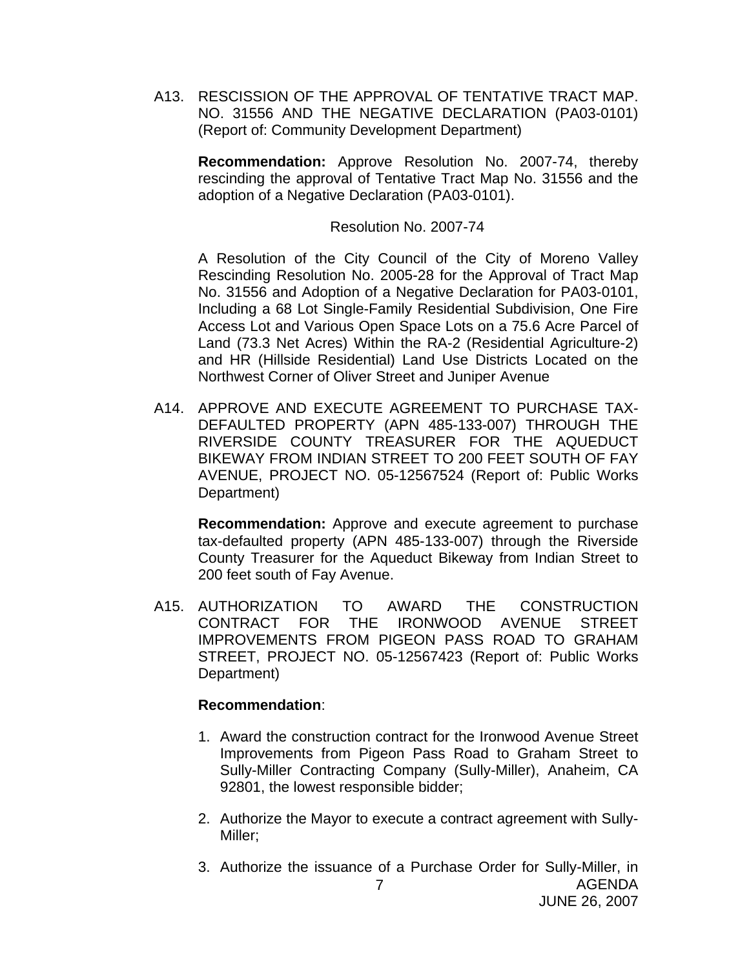A13. RESCISSION OF THE APPROVAL OF TENTATIVE TRACT MAP. NO. 31556 AND THE NEGATIVE DECLARATION (PA03-0101) (Report of: Community Development Department)

**Recommendation:** Approve Resolution No. 2007-74, thereby rescinding the approval of Tentative Tract Map No. 31556 and the adoption of a Negative Declaration (PA03-0101).

Resolution No. 2007-74

 A Resolution of the City Council of the City of Moreno Valley Rescinding Resolution No. 2005-28 for the Approval of Tract Map No. 31556 and Adoption of a Negative Declaration for PA03-0101, Including a 68 Lot Single-Family Residential Subdivision, One Fire Access Lot and Various Open Space Lots on a 75.6 Acre Parcel of Land (73.3 Net Acres) Within the RA-2 (Residential Agriculture-2) and HR (Hillside Residential) Land Use Districts Located on the Northwest Corner of Oliver Street and Juniper Avenue

A14. APPROVE AND EXECUTE AGREEMENT TO PURCHASE TAX-DEFAULTED PROPERTY (APN 485-133-007) THROUGH THE RIVERSIDE COUNTY TREASURER FOR THE AQUEDUCT BIKEWAY FROM INDIAN STREET TO 200 FEET SOUTH OF FAY AVENUE, PROJECT NO. 05-12567524 (Report of: Public Works Department)

**Recommendation:** Approve and execute agreement to purchase tax-defaulted property (APN 485-133-007) through the Riverside County Treasurer for the Aqueduct Bikeway from Indian Street to 200 feet south of Fay Avenue.

A15. AUTHORIZATION TO AWARD THE CONSTRUCTION CONTRACT FOR THE IRONWOOD AVENUE STREET IMPROVEMENTS FROM PIGEON PASS ROAD TO GRAHAM STREET, PROJECT NO. 05-12567423 (Report of: Public Works Department)

- 1. Award the construction contract for the Ironwood Avenue Street Improvements from Pigeon Pass Road to Graham Street to Sully-Miller Contracting Company (Sully-Miller), Anaheim, CA 92801, the lowest responsible bidder;
- 2. Authorize the Mayor to execute a contract agreement with Sully-Miller;
- AGENDA 7 3. Authorize the issuance of a Purchase Order for Sully-Miller, in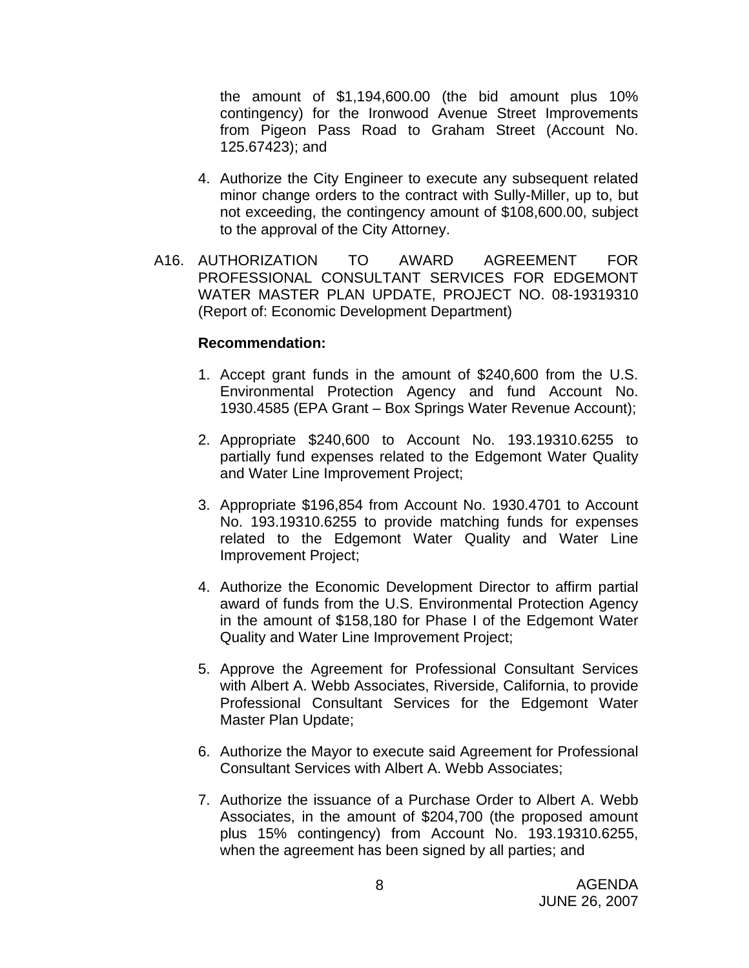the amount of \$1,194,600.00 (the bid amount plus 10% contingency) for the Ironwood Avenue Street Improvements from Pigeon Pass Road to Graham Street (Account No. 125.67423); and

- 4. Authorize the City Engineer to execute any subsequent related minor change orders to the contract with Sully-Miller, up to, but not exceeding, the contingency amount of \$108,600.00, subject to the approval of the City Attorney.
- A16. AUTHORIZATION TO AWARD AGREEMENT FOR PROFESSIONAL CONSULTANT SERVICES FOR EDGEMONT WATER MASTER PLAN UPDATE, PROJECT NO. 08-19319310 (Report of: Economic Development Department)

- 1. Accept grant funds in the amount of \$240,600 from the U.S. Environmental Protection Agency and fund Account No. 1930.4585 (EPA Grant – Box Springs Water Revenue Account);
- 2. Appropriate \$240,600 to Account No. 193.19310.6255 to partially fund expenses related to the Edgemont Water Quality and Water Line Improvement Project;
- 3. Appropriate \$196,854 from Account No. 1930.4701 to Account No. 193.19310.6255 to provide matching funds for expenses related to the Edgemont Water Quality and Water Line Improvement Project;
- 4. Authorize the Economic Development Director to affirm partial award of funds from the U.S. Environmental Protection Agency in the amount of \$158,180 for Phase I of the Edgemont Water Quality and Water Line Improvement Project;
- 5. Approve the Agreement for Professional Consultant Services with Albert A. Webb Associates, Riverside, California, to provide Professional Consultant Services for the Edgemont Water Master Plan Update;
- 6. Authorize the Mayor to execute said Agreement for Professional Consultant Services with Albert A. Webb Associates;
- 7. Authorize the issuance of a Purchase Order to Albert A. Webb Associates, in the amount of \$204,700 (the proposed amount plus 15% contingency) from Account No. 193.19310.6255, when the agreement has been signed by all parties; and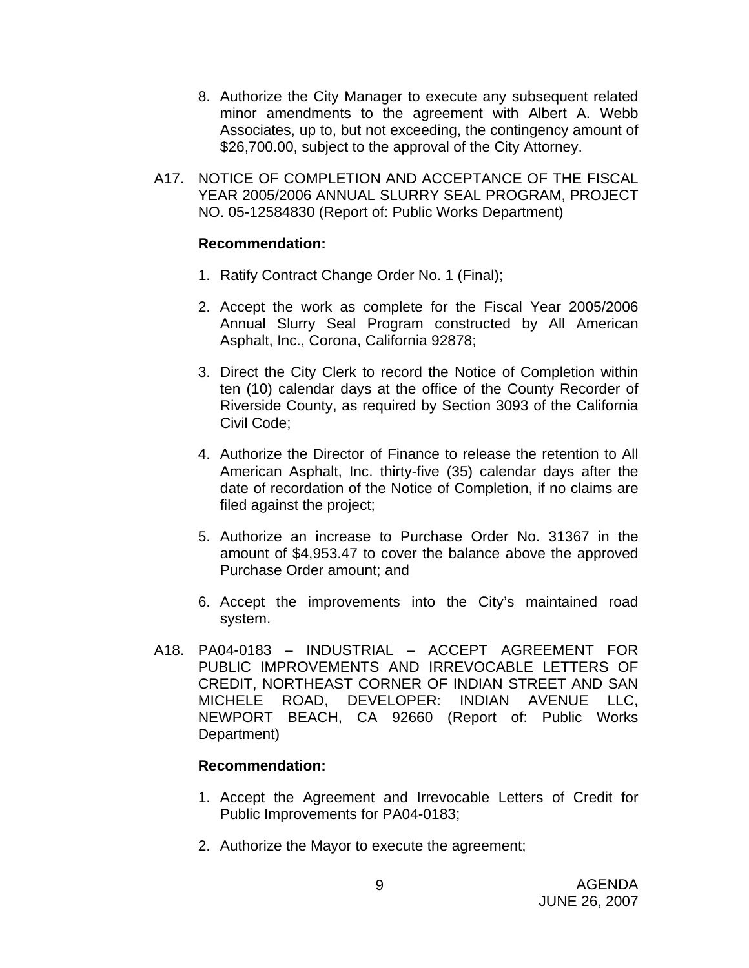- 8. Authorize the City Manager to execute any subsequent related minor amendments to the agreement with Albert A. Webb Associates, up to, but not exceeding, the contingency amount of \$26,700.00, subject to the approval of the City Attorney.
- A17. NOTICE OF COMPLETION AND ACCEPTANCE OF THE FISCAL YEAR 2005/2006 ANNUAL SLURRY SEAL PROGRAM, PROJECT NO. 05-12584830 (Report of: Public Works Department)

#### **Recommendation:**

- 1. Ratify Contract Change Order No. 1 (Final);
- 2. Accept the work as complete for the Fiscal Year 2005/2006 Annual Slurry Seal Program constructed by All American Asphalt, Inc., Corona, California 92878;
- 3. Direct the City Clerk to record the Notice of Completion within ten (10) calendar days at the office of the County Recorder of Riverside County, as required by Section 3093 of the California Civil Code;
- 4. Authorize the Director of Finance to release the retention to All American Asphalt, Inc. thirty-five (35) calendar days after the date of recordation of the Notice of Completion, if no claims are filed against the project;
- 5. Authorize an increase to Purchase Order No. 31367 in the amount of \$4,953.47 to cover the balance above the approved Purchase Order amount; and
- 6. Accept the improvements into the City's maintained road system.
- A18. PA04-0183 INDUSTRIAL ACCEPT AGREEMENT FOR PUBLIC IMPROVEMENTS AND IRREVOCABLE LETTERS OF CREDIT, NORTHEAST CORNER OF INDIAN STREET AND SAN MICHELE ROAD, DEVELOPER: INDIAN AVENUE LLC, NEWPORT BEACH, CA 92660 (Report of: Public Works Department)

- 1. Accept the Agreement and Irrevocable Letters of Credit for Public Improvements for PA04-0183;
- 2. Authorize the Mayor to execute the agreement;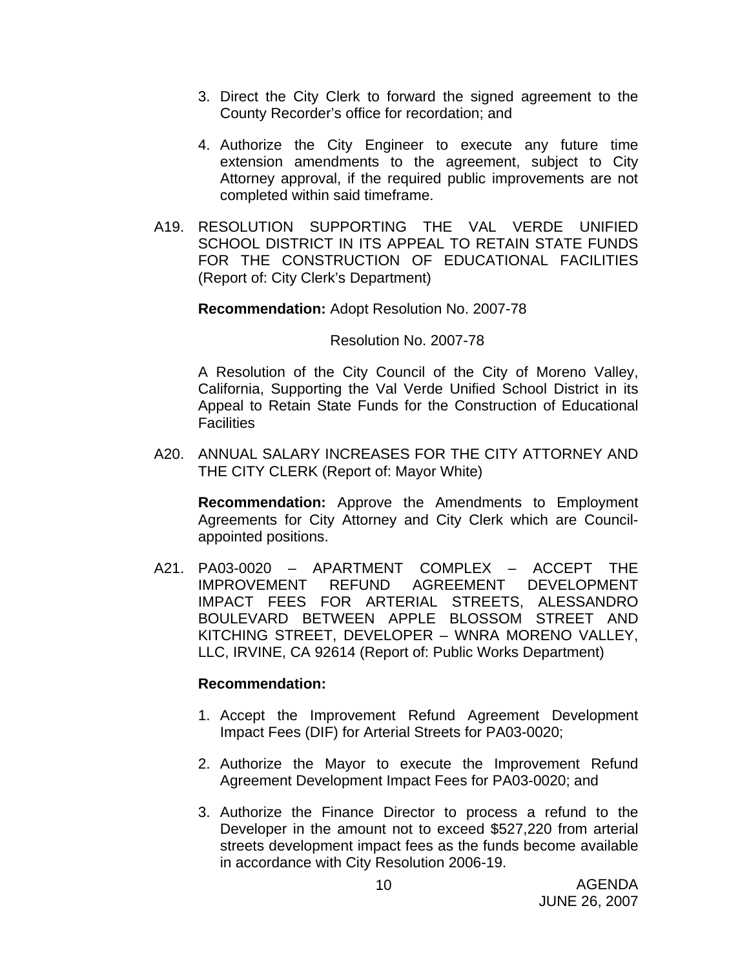- 3. Direct the City Clerk to forward the signed agreement to the County Recorder's office for recordation; and
- 4. Authorize the City Engineer to execute any future time extension amendments to the agreement, subject to City Attorney approval, if the required public improvements are not completed within said timeframe.
- A19. RESOLUTION SUPPORTING THE VAL VERDE UNIFIED SCHOOL DISTRICT IN ITS APPEAL TO RETAIN STATE FUNDS FOR THE CONSTRUCTION OF EDUCATIONAL FACILITIES (Report of: City Clerk's Department)

#### **Recommendation:** Adopt Resolution No. 2007-78

#### Resolution No. 2007-78

 A Resolution of the City Council of the City of Moreno Valley, California, Supporting the Val Verde Unified School District in its Appeal to Retain State Funds for the Construction of Educational **Facilities** 

A20. ANNUAL SALARY INCREASES FOR THE CITY ATTORNEY AND THE CITY CLERK (Report of: Mayor White)

**Recommendation:** Approve the Amendments to Employment Agreements for City Attorney and City Clerk which are Councilappointed positions.

A21. PA03-0020 – APARTMENT COMPLEX – ACCEPT THE IMPROVEMENT REFUND AGREEMENT DEVELOPMENT IMPACT FEES FOR ARTERIAL STREETS, ALESSANDRO BOULEVARD BETWEEN APPLE BLOSSOM STREET AND KITCHING STREET, DEVELOPER – WNRA MORENO VALLEY, LLC, IRVINE, CA 92614 (Report of: Public Works Department)

- 1. Accept the Improvement Refund Agreement Development Impact Fees (DIF) for Arterial Streets for PA03-0020;
- 2. Authorize the Mayor to execute the Improvement Refund Agreement Development Impact Fees for PA03-0020; and
- 3. Authorize the Finance Director to process a refund to the Developer in the amount not to exceed \$527,220 from arterial streets development impact fees as the funds become available in accordance with City Resolution 2006-19.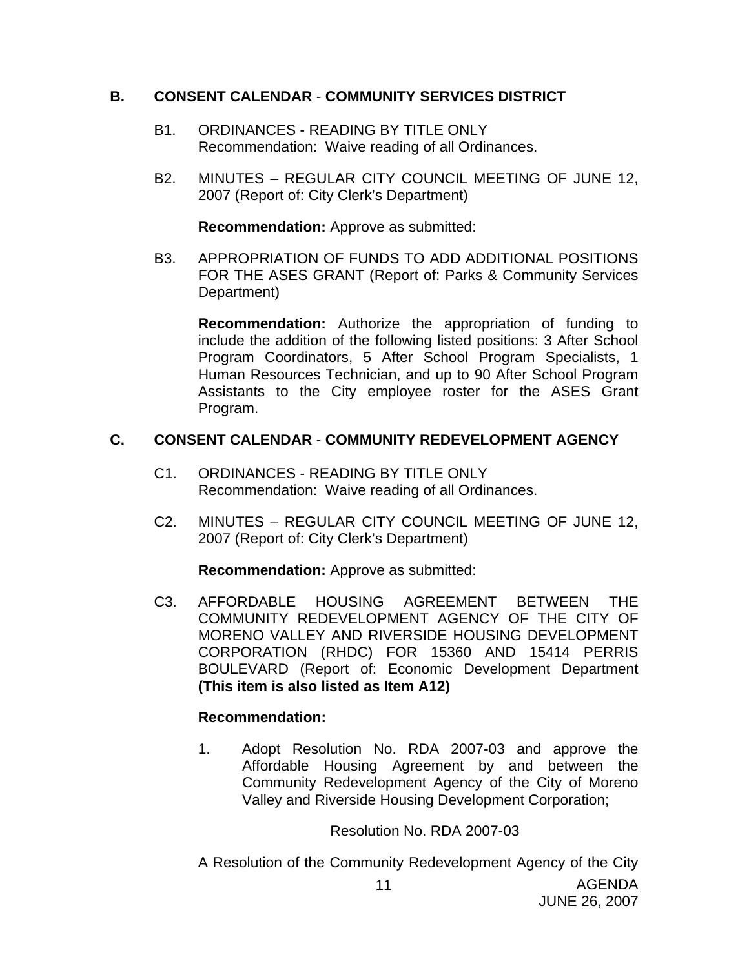#### **B. CONSENT CALENDAR** - **COMMUNITY SERVICES DISTRICT**

- B1. ORDINANCES READING BY TITLE ONLY Recommendation: Waive reading of all Ordinances.
- B2. MINUTES REGULAR CITY COUNCIL MEETING OF JUNE 12, 2007 (Report of: City Clerk's Department)

**Recommendation:** Approve as submitted:

B3. APPROPRIATION OF FUNDS TO ADD ADDITIONAL POSITIONS FOR THE ASES GRANT (Report of: Parks & Community Services Department)

**Recommendation:** Authorize the appropriation of funding to include the addition of the following listed positions: 3 After School Program Coordinators, 5 After School Program Specialists, 1 Human Resources Technician, and up to 90 After School Program Assistants to the City employee roster for the ASES Grant Program.

## **C. CONSENT CALENDAR** - **COMMUNITY REDEVELOPMENT AGENCY**

- C1. ORDINANCES READING BY TITLE ONLY Recommendation: Waive reading of all Ordinances.
- C2. MINUTES REGULAR CITY COUNCIL MEETING OF JUNE 12, 2007 (Report of: City Clerk's Department)

**Recommendation:** Approve as submitted:

C3. AFFORDABLE HOUSING AGREEMENT BETWEEN THE COMMUNITY REDEVELOPMENT AGENCY OF THE CITY OF MORENO VALLEY AND RIVERSIDE HOUSING DEVELOPMENT CORPORATION (RHDC) FOR 15360 AND 15414 PERRIS BOULEVARD (Report of: Economic Development Department **(This item is also listed as Item A12)**

## **Recommendation:**

1. Adopt Resolution No. RDA 2007-03 and approve the Affordable Housing Agreement by and between the Community Redevelopment Agency of the City of Moreno Valley and Riverside Housing Development Corporation;

Resolution No. RDA 2007-03

A Resolution of the Community Redevelopment Agency of the City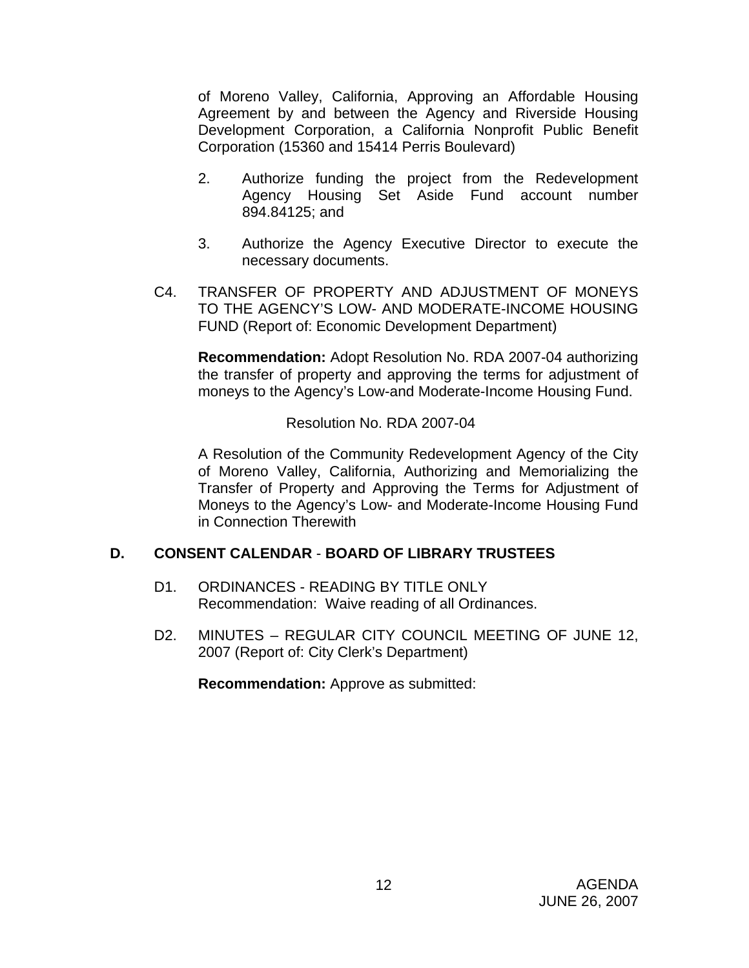of Moreno Valley, California, Approving an Affordable Housing Agreement by and between the Agency and Riverside Housing Development Corporation, a California Nonprofit Public Benefit Corporation (15360 and 15414 Perris Boulevard)

- 2. Authorize funding the project from the Redevelopment Agency Housing Set Aside Fund account number 894.84125; and
- 3. Authorize the Agency Executive Director to execute the necessary documents.
- C4. TRANSFER OF PROPERTY AND ADJUSTMENT OF MONEYS TO THE AGENCY'S LOW- AND MODERATE-INCOME HOUSING FUND (Report of: Economic Development Department)

**Recommendation:** Adopt Resolution No. RDA 2007-04 authorizing the transfer of property and approving the terms for adjustment of moneys to the Agency's Low-and Moderate-Income Housing Fund.

Resolution No. RDA 2007-04

 A Resolution of the Community Redevelopment Agency of the City of Moreno Valley, California, Authorizing and Memorializing the Transfer of Property and Approving the Terms for Adjustment of Moneys to the Agency's Low- and Moderate-Income Housing Fund in Connection Therewith

#### **D. CONSENT CALENDAR** - **BOARD OF LIBRARY TRUSTEES**

- D1. ORDINANCES READING BY TITLE ONLY Recommendation: Waive reading of all Ordinances.
- D2. MINUTES REGULAR CITY COUNCIL MEETING OF JUNE 12, 2007 (Report of: City Clerk's Department)

**Recommendation:** Approve as submitted: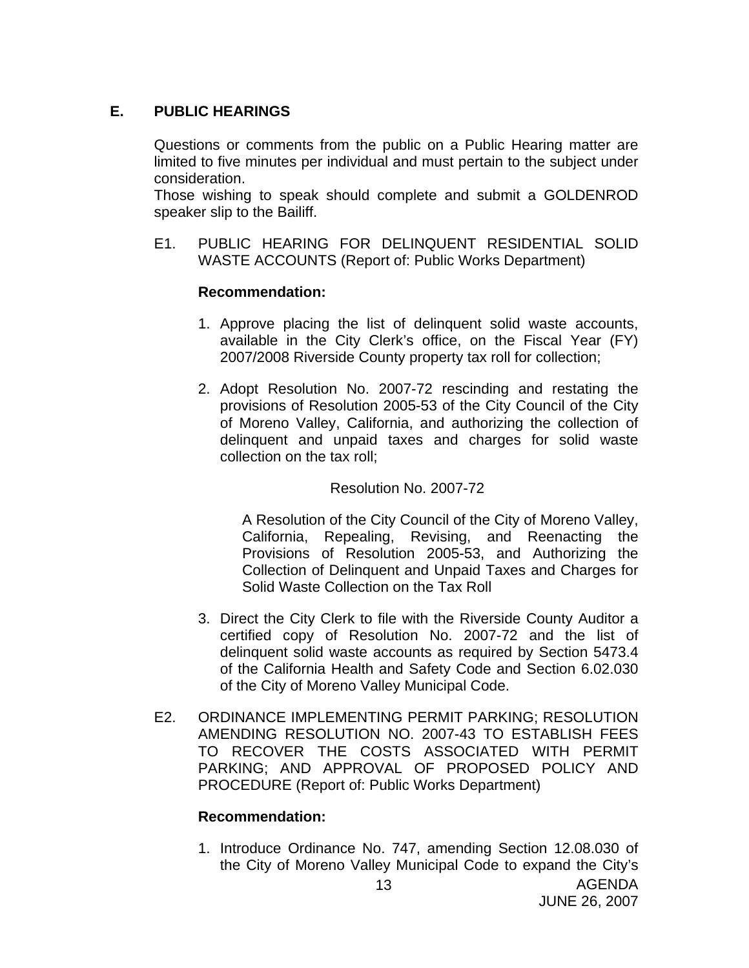## **E. PUBLIC HEARINGS**

Questions or comments from the public on a Public Hearing matter are limited to five minutes per individual and must pertain to the subject under consideration.

 Those wishing to speak should complete and submit a GOLDENROD speaker slip to the Bailiff.

E1. PUBLIC HEARING FOR DELINQUENT RESIDENTIAL SOLID WASTE ACCOUNTS (Report of: Public Works Department)

#### **Recommendation:**

- 1. Approve placing the list of delinquent solid waste accounts, available in the City Clerk's office, on the Fiscal Year (FY) 2007/2008 Riverside County property tax roll for collection;
- 2. Adopt Resolution No. 2007-72 rescinding and restating the provisions of Resolution 2005-53 of the City Council of the City of Moreno Valley, California, and authorizing the collection of delinquent and unpaid taxes and charges for solid waste collection on the tax roll;

#### Resolution No. 2007-72

 A Resolution of the City Council of the City of Moreno Valley, California, Repealing, Revising, and Reenacting the Provisions of Resolution 2005-53, and Authorizing the Collection of Delinquent and Unpaid Taxes and Charges for Solid Waste Collection on the Tax Roll

- 3. Direct the City Clerk to file with the Riverside County Auditor a certified copy of Resolution No. 2007-72 and the list of delinquent solid waste accounts as required by Section 5473.4 of the California Health and Safety Code and Section 6.02.030 of the City of Moreno Valley Municipal Code.
- E2. ORDINANCE IMPLEMENTING PERMIT PARKING; RESOLUTION AMENDING RESOLUTION NO. 2007-43 TO ESTABLISH FEES TO RECOVER THE COSTS ASSOCIATED WITH PERMIT PARKING; AND APPROVAL OF PROPOSED POLICY AND PROCEDURE (Report of: Public Works Department)

#### **Recommendation:**

1. Introduce Ordinance No. 747, amending Section 12.08.030 of the City of Moreno Valley Municipal Code to expand the City's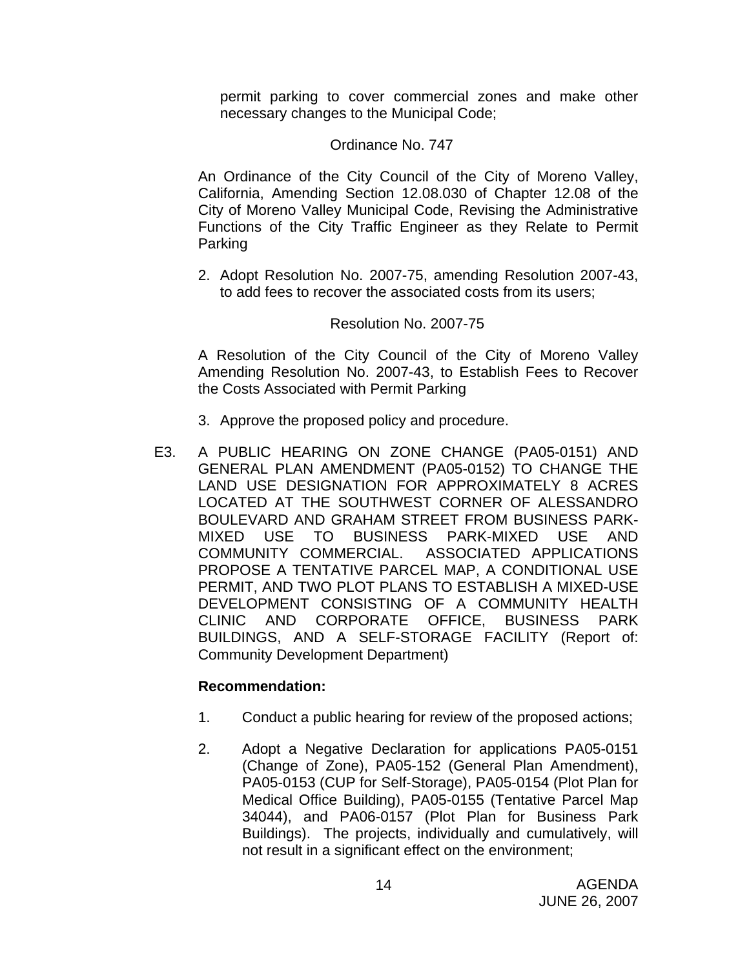permit parking to cover commercial zones and make other necessary changes to the Municipal Code;

#### Ordinance No. 747

 An Ordinance of the City Council of the City of Moreno Valley, California, Amending Section 12.08.030 of Chapter 12.08 of the City of Moreno Valley Municipal Code, Revising the Administrative Functions of the City Traffic Engineer as they Relate to Permit Parking

 2. Adopt Resolution No. 2007-75, amending Resolution 2007-43, to add fees to recover the associated costs from its users;

#### Resolution No. 2007-75

 A Resolution of the City Council of the City of Moreno Valley Amending Resolution No. 2007-43, to Establish Fees to Recover the Costs Associated with Permit Parking

- 3. Approve the proposed policy and procedure.
- E3. A PUBLIC HEARING ON ZONE CHANGE (PA05-0151) AND GENERAL PLAN AMENDMENT (PA05-0152) TO CHANGE THE LAND USE DESIGNATION FOR APPROXIMATELY 8 ACRES LOCATED AT THE SOUTHWEST CORNER OF ALESSANDRO BOULEVARD AND GRAHAM STREET FROM BUSINESS PARK-MIXED USE TO BUSINESS PARK-MIXED USE AND COMMUNITY COMMERCIAL. ASSOCIATED APPLICATIONS PROPOSE A TENTATIVE PARCEL MAP, A CONDITIONAL USE PERMIT, AND TWO PLOT PLANS TO ESTABLISH A MIXED-USE DEVELOPMENT CONSISTING OF A COMMUNITY HEALTH CLINIC AND CORPORATE OFFICE, BUSINESS PARK BUILDINGS, AND A SELF-STORAGE FACILITY (Report of: Community Development Department)

- 1. Conduct a public hearing for review of the proposed actions;
- 2. Adopt a Negative Declaration for applications PA05-0151 (Change of Zone), PA05-152 (General Plan Amendment), PA05-0153 (CUP for Self-Storage), PA05-0154 (Plot Plan for Medical Office Building), PA05-0155 (Tentative Parcel Map 34044), and PA06-0157 (Plot Plan for Business Park Buildings). The projects, individually and cumulatively, will not result in a significant effect on the environment;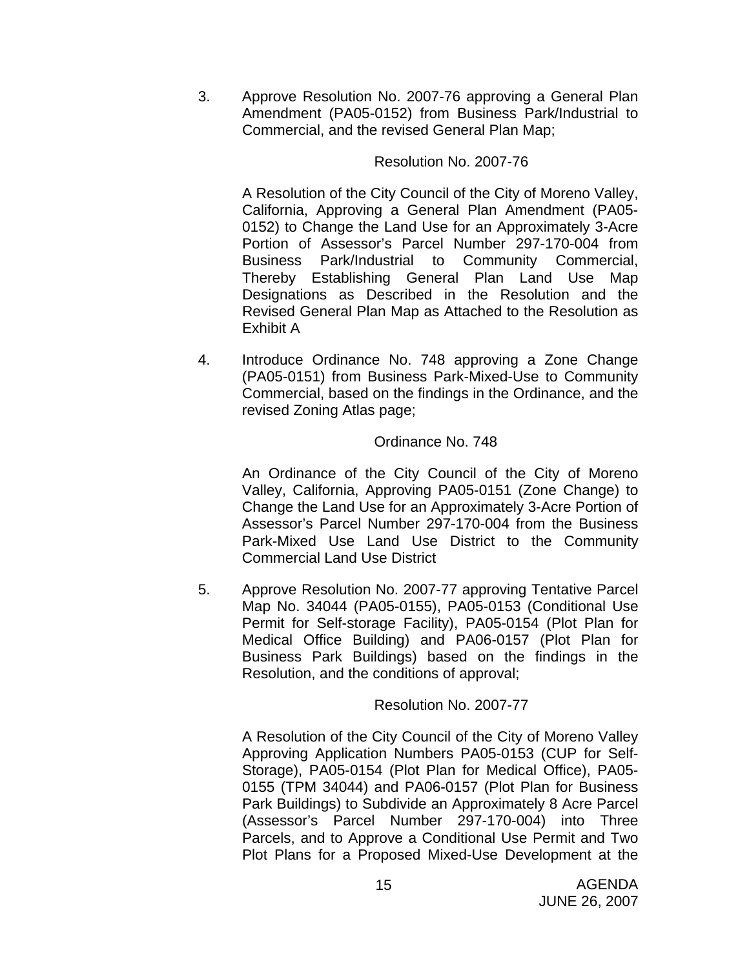3. Approve Resolution No. 2007-76 approving a General Plan Amendment (PA05-0152) from Business Park/Industrial to Commercial, and the revised General Plan Map;

#### Resolution No. 2007-76

 A Resolution of the City Council of the City of Moreno Valley, California, Approving a General Plan Amendment (PA05- 0152) to Change the Land Use for an Approximately 3-Acre Portion of Assessor's Parcel Number 297-170-004 from Business Park/Industrial to Community Commercial, Thereby Establishing General Plan Land Use Map Designations as Described in the Resolution and the Revised General Plan Map as Attached to the Resolution as Exhibit A

4. Introduce Ordinance No. 748 approving a Zone Change (PA05-0151) from Business Park-Mixed-Use to Community Commercial, based on the findings in the Ordinance, and the revised Zoning Atlas page;

## Ordinance No. 748

 An Ordinance of the City Council of the City of Moreno Valley, California, Approving PA05-0151 (Zone Change) to Change the Land Use for an Approximately 3-Acre Portion of Assessor's Parcel Number 297-170-004 from the Business Park-Mixed Use Land Use District to the Community Commercial Land Use District

5. Approve Resolution No. 2007-77 approving Tentative Parcel Map No. 34044 (PA05-0155), PA05-0153 (Conditional Use Permit for Self-storage Facility), PA05-0154 (Plot Plan for Medical Office Building) and PA06-0157 (Plot Plan for Business Park Buildings) based on the findings in the Resolution, and the conditions of approval;

## Resolution No. 2007-77

 A Resolution of the City Council of the City of Moreno Valley Approving Application Numbers PA05-0153 (CUP for Self-Storage), PA05-0154 (Plot Plan for Medical Office), PA05- 0155 (TPM 34044) and PA06-0157 (Plot Plan for Business Park Buildings) to Subdivide an Approximately 8 Acre Parcel (Assessor's Parcel Number 297-170-004) into Three Parcels, and to Approve a Conditional Use Permit and Two Plot Plans for a Proposed Mixed-Use Development at the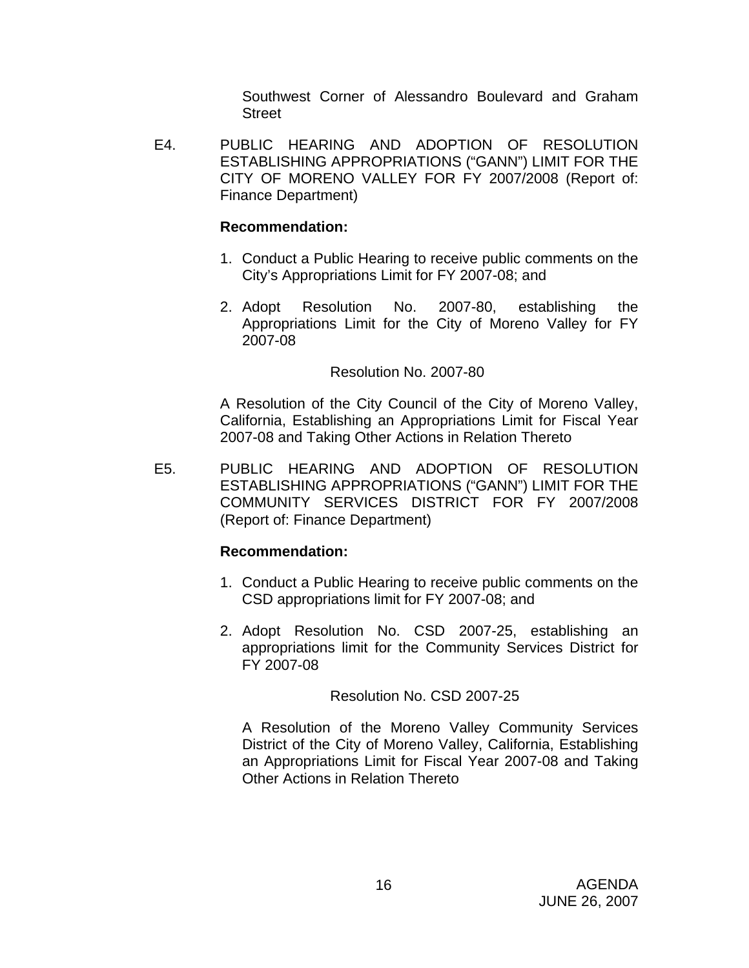Southwest Corner of Alessandro Boulevard and Graham Street

 E4. PUBLIC HEARING AND ADOPTION OF RESOLUTION ESTABLISHING APPROPRIATIONS ("GANN") LIMIT FOR THE CITY OF MORENO VALLEY FOR FY 2007/2008 (Report of: Finance Department)

## **Recommendation:**

- 1. Conduct a Public Hearing to receive public comments on the City's Appropriations Limit for FY 2007-08; and
- 2. Adopt Resolution No. 2007-80, establishing the Appropriations Limit for the City of Moreno Valley for FY 2007-08

## Resolution No. 2007-80

 A Resolution of the City Council of the City of Moreno Valley, California, Establishing an Appropriations Limit for Fiscal Year 2007-08 and Taking Other Actions in Relation Thereto

 E5. PUBLIC HEARING AND ADOPTION OF RESOLUTION ESTABLISHING APPROPRIATIONS ("GANN") LIMIT FOR THE COMMUNITY SERVICES DISTRICT FOR FY 2007/2008 (Report of: Finance Department)

## **Recommendation:**

- 1. Conduct a Public Hearing to receive public comments on the CSD appropriations limit for FY 2007-08; and
- 2. Adopt Resolution No. CSD 2007-25, establishing an appropriations limit for the Community Services District for FY 2007-08

## Resolution No. CSD 2007-25

 A Resolution of the Moreno Valley Community Services District of the City of Moreno Valley, California, Establishing an Appropriations Limit for Fiscal Year 2007-08 and Taking Other Actions in Relation Thereto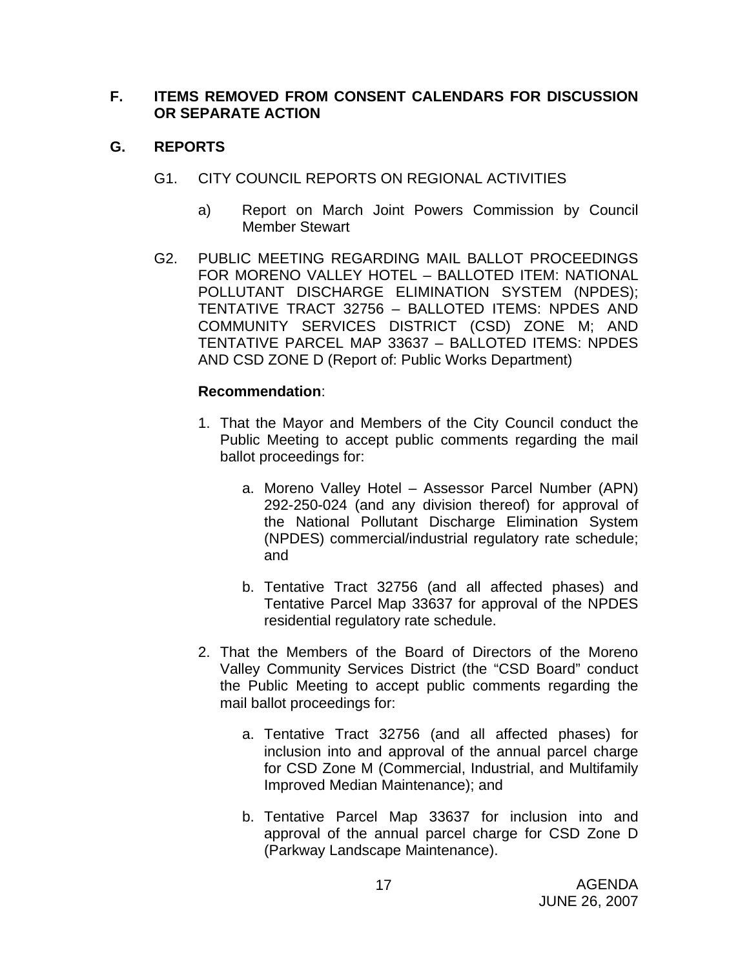#### **F. ITEMS REMOVED FROM CONSENT CALENDARS FOR DISCUSSION OR SEPARATE ACTION**

## **G. REPORTS**

- G1. CITY COUNCIL REPORTS ON REGIONAL ACTIVITIES
	- a) Report on March Joint Powers Commission by Council Member Stewart
- G2. PUBLIC MEETING REGARDING MAIL BALLOT PROCEEDINGS FOR MORENO VALLEY HOTEL – BALLOTED ITEM: NATIONAL POLLUTANT DISCHARGE ELIMINATION SYSTEM (NPDES); TENTATIVE TRACT 32756 – BALLOTED ITEMS: NPDES AND COMMUNITY SERVICES DISTRICT (CSD) ZONE M; AND TENTATIVE PARCEL MAP 33637 – BALLOTED ITEMS: NPDES AND CSD ZONE D (Report of: Public Works Department)

- 1. That the Mayor and Members of the City Council conduct the Public Meeting to accept public comments regarding the mail ballot proceedings for:
	- a. Moreno Valley Hotel Assessor Parcel Number (APN) 292-250-024 (and any division thereof) for approval of the National Pollutant Discharge Elimination System (NPDES) commercial/industrial regulatory rate schedule; and
	- b. Tentative Tract 32756 (and all affected phases) and Tentative Parcel Map 33637 for approval of the NPDES residential regulatory rate schedule.
- 2. That the Members of the Board of Directors of the Moreno Valley Community Services District (the "CSD Board" conduct the Public Meeting to accept public comments regarding the mail ballot proceedings for:
	- a. Tentative Tract 32756 (and all affected phases) for inclusion into and approval of the annual parcel charge for CSD Zone M (Commercial, Industrial, and Multifamily Improved Median Maintenance); and
	- b. Tentative Parcel Map 33637 for inclusion into and approval of the annual parcel charge for CSD Zone D (Parkway Landscape Maintenance).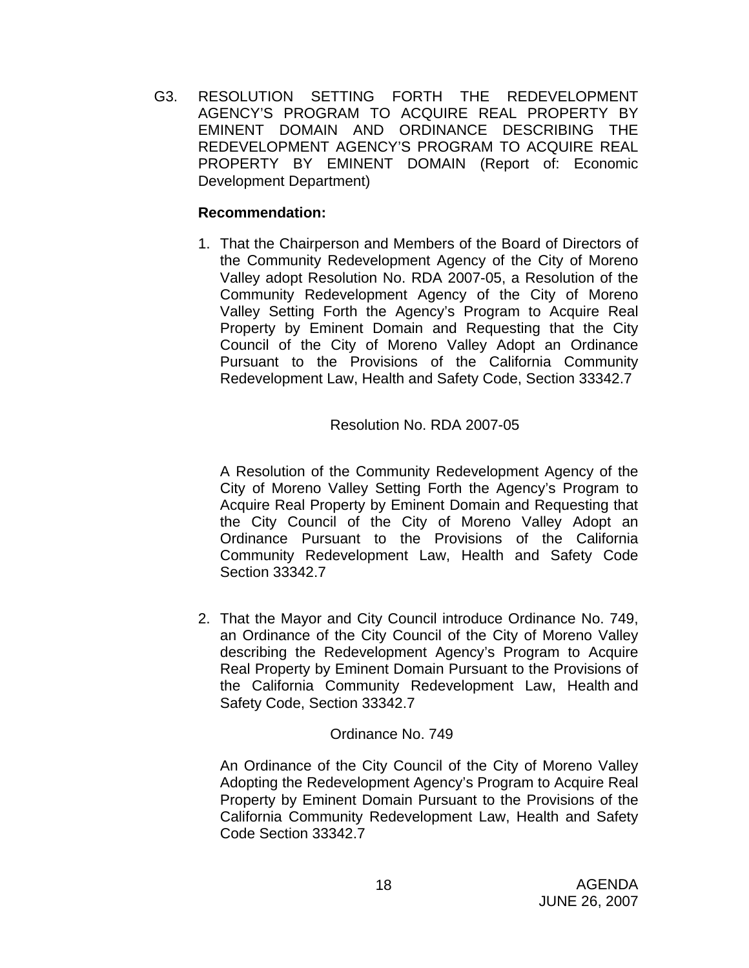G3. RESOLUTION SETTING FORTH THE REDEVELOPMENT AGENCY'S PROGRAM TO ACQUIRE REAL PROPERTY BY EMINENT DOMAIN AND ORDINANCE DESCRIBING THE REDEVELOPMENT AGENCY'S PROGRAM TO ACQUIRE REAL PROPERTY BY EMINENT DOMAIN (Report of: Economic Development Department)

## **Recommendation:**

1. That the Chairperson and Members of the Board of Directors of the Community Redevelopment Agency of the City of Moreno Valley adopt Resolution No. RDA 2007-05, a Resolution of the Community Redevelopment Agency of the City of Moreno Valley Setting Forth the Agency's Program to Acquire Real Property by Eminent Domain and Requesting that the City Council of the City of Moreno Valley Adopt an Ordinance Pursuant to the Provisions of the California Community Redevelopment Law, Health and Safety Code, Section 33342.7

## Resolution No. RDA 2007-05

 A Resolution of the Community Redevelopment Agency of the City of Moreno Valley Setting Forth the Agency's Program to Acquire Real Property by Eminent Domain and Requesting that the City Council of the City of Moreno Valley Adopt an Ordinance Pursuant to the Provisions of the California Community Redevelopment Law, Health and Safety Code Section 33342.7

2. That the Mayor and City Council introduce Ordinance No. 749, an Ordinance of the City Council of the City of Moreno Valley describing the Redevelopment Agency's Program to Acquire Real Property by Eminent Domain Pursuant to the Provisions of the California Community Redevelopment Law, Health and Safety Code, Section 33342.7

## Ordinance No. 749

An Ordinance of the City Council of the City of Moreno Valley Adopting the Redevelopment Agency's Program to Acquire Real Property by Eminent Domain Pursuant to the Provisions of the California Community Redevelopment Law, Health and Safety Code Section 33342.7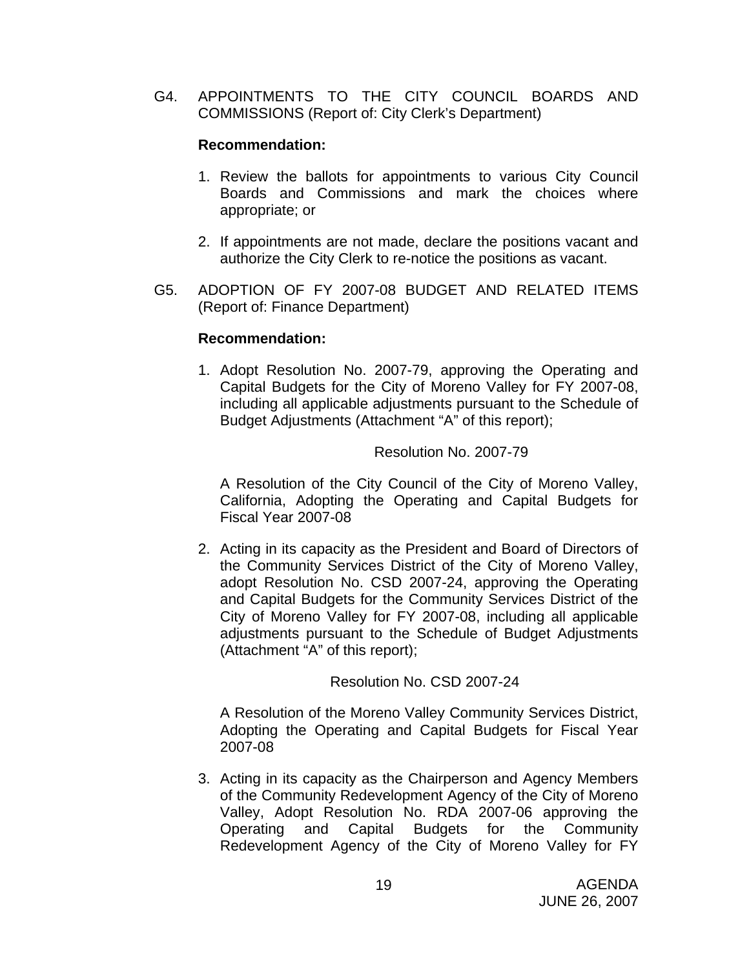G4. APPOINTMENTS TO THE CITY COUNCIL BOARDS AND COMMISSIONS (Report of: City Clerk's Department)

#### **Recommendation:**

- 1. Review the ballots for appointments to various City Council Boards and Commissions and mark the choices where appropriate; or
- 2. If appointments are not made, declare the positions vacant and authorize the City Clerk to re-notice the positions as vacant.
- G5. ADOPTION OF FY 2007-08 BUDGET AND RELATED ITEMS (Report of: Finance Department)

#### **Recommendation:**

1. Adopt Resolution No. 2007-79, approving the Operating and Capital Budgets for the City of Moreno Valley for FY 2007-08, including all applicable adjustments pursuant to the Schedule of Budget Adjustments (Attachment "A" of this report);

## Resolution No. 2007-79

 A Resolution of the City Council of the City of Moreno Valley, California, Adopting the Operating and Capital Budgets for Fiscal Year 2007-08

2. Acting in its capacity as the President and Board of Directors of the Community Services District of the City of Moreno Valley, adopt Resolution No. CSD 2007-24, approving the Operating and Capital Budgets for the Community Services District of the City of Moreno Valley for FY 2007-08, including all applicable adjustments pursuant to the Schedule of Budget Adjustments (Attachment "A" of this report);

#### Resolution No. CSD 2007-24

 A Resolution of the Moreno Valley Community Services District, Adopting the Operating and Capital Budgets for Fiscal Year 2007-08

3. Acting in its capacity as the Chairperson and Agency Members of the Community Redevelopment Agency of the City of Moreno Valley, Adopt Resolution No. RDA 2007-06 approving the Operating and Capital Budgets for the Community Redevelopment Agency of the City of Moreno Valley for FY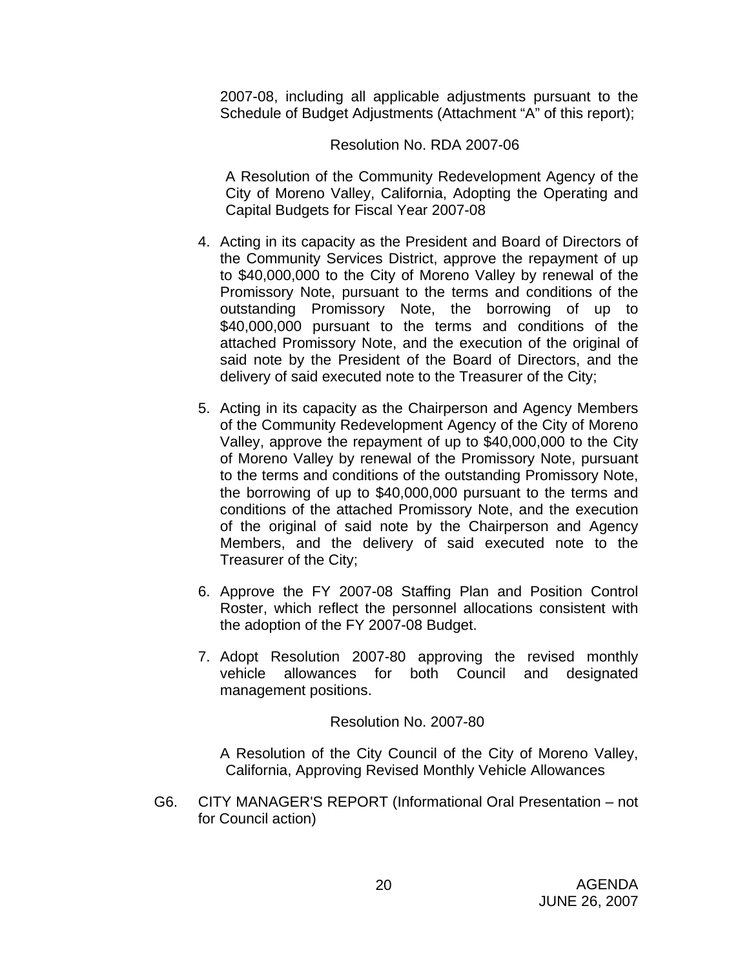2007-08, including all applicable adjustments pursuant to the Schedule of Budget Adjustments (Attachment "A" of this report);

#### Resolution No. RDA 2007-06

 A Resolution of the Community Redevelopment Agency of the City of Moreno Valley, California, Adopting the Operating and Capital Budgets for Fiscal Year 2007-08

- 4. Acting in its capacity as the President and Board of Directors of the Community Services District, approve the repayment of up to \$40,000,000 to the City of Moreno Valley by renewal of the Promissory Note, pursuant to the terms and conditions of the outstanding Promissory Note, the borrowing of up to \$40,000,000 pursuant to the terms and conditions of the attached Promissory Note, and the execution of the original of said note by the President of the Board of Directors, and the delivery of said executed note to the Treasurer of the City;
- 5. Acting in its capacity as the Chairperson and Agency Members of the Community Redevelopment Agency of the City of Moreno Valley, approve the repayment of up to \$40,000,000 to the City of Moreno Valley by renewal of the Promissory Note, pursuant to the terms and conditions of the outstanding Promissory Note, the borrowing of up to \$40,000,000 pursuant to the terms and conditions of the attached Promissory Note, and the execution of the original of said note by the Chairperson and Agency Members, and the delivery of said executed note to the Treasurer of the City;
- 6. Approve the FY 2007-08 Staffing Plan and Position Control Roster, which reflect the personnel allocations consistent with the adoption of the FY 2007-08 Budget.
- 7. Adopt Resolution 2007-80 approving the revised monthly vehicle allowances for both Council and designated management positions.

Resolution No. 2007-80

 A Resolution of the City Council of the City of Moreno Valley, California, Approving Revised Monthly Vehicle Allowances

G6. CITY MANAGER'S REPORT (Informational Oral Presentation – not for Council action)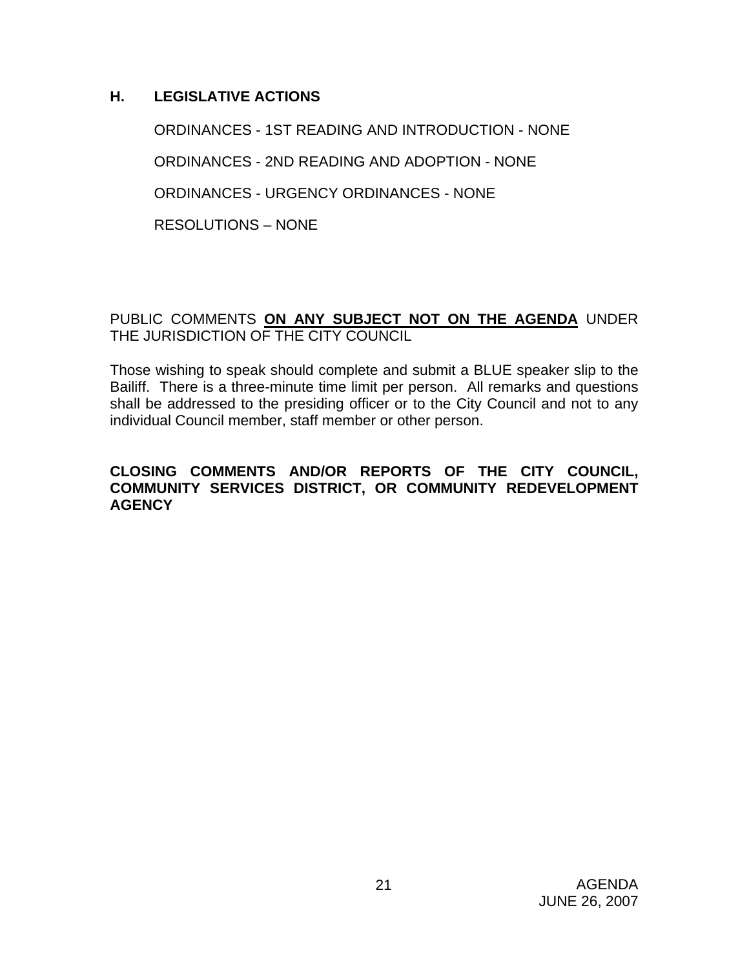## **H. LEGISLATIVE ACTIONS**

ORDINANCES - 1ST READING AND INTRODUCTION - NONE ORDINANCES - 2ND READING AND ADOPTION - NONE ORDINANCES - URGENCY ORDINANCES - NONE RESOLUTIONS – NONE

## PUBLIC COMMENTS **ON ANY SUBJECT NOT ON THE AGENDA** UNDER THE JURISDICTION OF THE CITY COUNCIL

Those wishing to speak should complete and submit a BLUE speaker slip to the Bailiff. There is a three-minute time limit per person. All remarks and questions shall be addressed to the presiding officer or to the City Council and not to any individual Council member, staff member or other person.

#### **CLOSING COMMENTS AND/OR REPORTS OF THE CITY COUNCIL, COMMUNITY SERVICES DISTRICT, OR COMMUNITY REDEVELOPMENT AGENCY**